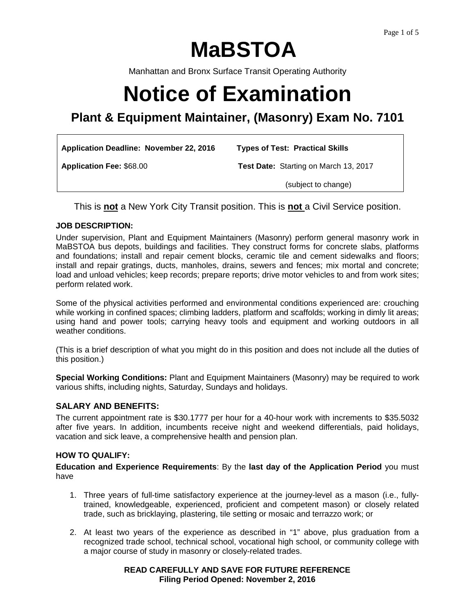# **MaBSTOA**

Manhattan and Bronx Surface Transit Operating Authority

## **Notice of Examination**

**Plant & Equipment Maintainer, (Masonry) Exam No. 7101** 

| <b>Application Deadline: November 22, 2016</b> | <b>Types of Test: Practical Skills</b>       |
|------------------------------------------------|----------------------------------------------|
| <b>Application Fee: \$68.00</b>                | <b>Test Date:</b> Starting on March 13, 2017 |
|                                                | (subject to change)                          |

This is **not** a New York City Transit position. This is **not** a Civil Service position.

#### **JOB DESCRIPTION:**

г

Under supervision, Plant and Equipment Maintainers (Masonry) perform general masonry work in MaBSTOA bus depots, buildings and facilities. They construct forms for concrete slabs, platforms and foundations; install and repair cement blocks, ceramic tile and cement sidewalks and floors; install and repair gratings, ducts, manholes, drains, sewers and fences; mix mortal and concrete; load and unload vehicles; keep records; prepare reports; drive motor vehicles to and from work sites; perform related work.

Some of the physical activities performed and environmental conditions experienced are: crouching while working in confined spaces; climbing ladders, platform and scaffolds; working in dimly lit areas; using hand and power tools; carrying heavy tools and equipment and working outdoors in all weather conditions.

(This is a brief description of what you might do in this position and does not include all the duties of this position.)

**Special Working Conditions:** Plant and Equipment Maintainers (Masonry) may be required to work various shifts, including nights, Saturday, Sundays and holidays.

## **SALARY AND BENEFITS:**

The current appointment rate is \$30.1777 per hour for a 40-hour work with increments to \$35.5032 after five years. In addition, incumbents receive night and weekend differentials, paid holidays, vacation and sick leave, a comprehensive health and pension plan.

#### **HOW TO QUALIFY:**

**Education and Experience Requirements**: By the **last day of the Application Period** you must have

- 1. Three years of full-time satisfactory experience at the journey-level as a mason (i.e., fullytrained, knowledgeable, experienced, proficient and competent mason) or closely related trade, such as bricklaying, plastering, tile setting or mosaic and terrazzo work; or
- 2. At least two years of the experience as described in "1" above, plus graduation from a recognized trade school, technical school, vocational high school, or community college with a major course of study in masonry or closely-related trades.

#### **READ CAREFULLY AND SAVE FOR FUTURE REFERENCE Filing Period Opened: November 2, 2016**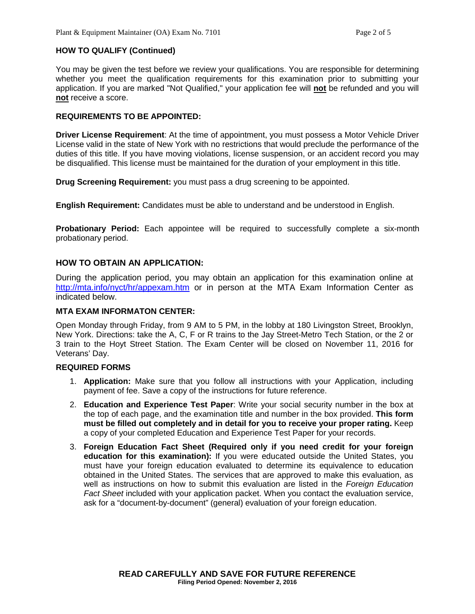### **HOW TO QUALIFY (Continued)**

You may be given the test before we review your qualifications. You are responsible for determining whether you meet the qualification requirements for this examination prior to submitting your application. If you are marked "Not Qualified," your application fee will **not** be refunded and you will **not** receive a score.

#### **REQUIREMENTS TO BE APPOINTED:**

**Driver License Requirement**: At the time of appointment, you must possess a Motor Vehicle Driver License valid in the state of New York with no restrictions that would preclude the performance of the duties of this title. If you have moving violations, license suspension, or an accident record you may be disqualified. This license must be maintained for the duration of your employment in this title.

**Drug Screening Requirement:** you must pass a drug screening to be appointed.

**English Requirement:** Candidates must be able to understand and be understood in English.

**Probationary Period:** Each appointee will be required to successfully complete a six-month probationary period.

#### **HOW TO OBTAIN AN APPLICATION:**

During the application period, you may obtain an application for this examination online at http://mta.info/nyct/hr/appexam.htm or in person at the MTA Exam Information Center as indicated below.

#### **MTA EXAM INFORMATON CENTER:**

Open Monday through Friday, from 9 AM to 5 PM, in the lobby at 180 Livingston Street, Brooklyn, New York. Directions: take the A, C, F or R trains to the Jay Street-Metro Tech Station, or the 2 or 3 train to the Hoyt Street Station. The Exam Center will be closed on November 11, 2016 for Veterans' Day.

#### **REQUIRED FORMS**

- 1. **Application:** Make sure that you follow all instructions with your Application, including payment of fee. Save a copy of the instructions for future reference.
- 2. **Education and Experience Test Paper**: Write your social security number in the box at the top of each page, and the examination title and number in the box provided. **This form must be filled out completely and in detail for you to receive your proper rating.** Keep a copy of your completed Education and Experience Test Paper for your records.
- 3. **Foreign Education Fact Sheet (Required only if you need credit for your foreign education for this examination):** If you were educated outside the United States, you must have your foreign education evaluated to determine its equivalence to education obtained in the United States. The services that are approved to make this evaluation, as well as instructions on how to submit this evaluation are listed in the Foreign Education Fact Sheet included with your application packet. When you contact the evaluation service, ask for a "document-by-document" (general) evaluation of your foreign education.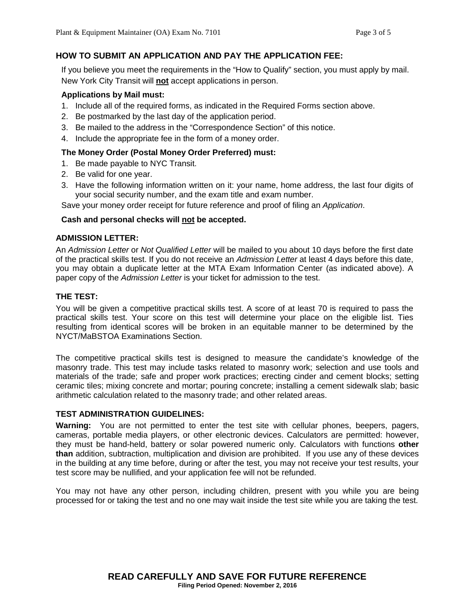## **HOW TO SUBMIT AN APPLICATION AND PAY THE APPLICATION FEE:**

If you believe you meet the requirements in the "How to Qualify" section, you must apply by mail. New York City Transit will **not** accept applications in person.

#### **Applications by Mail must:**

- 1. Include all of the required forms, as indicated in the Required Forms section above.
- 2. Be postmarked by the last day of the application period.
- 3. Be mailed to the address in the "Correspondence Section" of this notice.
- 4. Include the appropriate fee in the form of a money order.

#### **The Money Order (Postal Money Order Preferred) must:**

- 1. Be made payable to NYC Transit.
- 2. Be valid for one year.
- 3. Have the following information written on it: your name, home address, the last four digits of your social security number, and the exam title and exam number.

Save your money order receipt for future reference and proof of filing an Application.

#### **Cash and personal checks will not be accepted.**

#### **ADMISSION LETTER:**

An Admission Letter or Not Qualified Letter will be mailed to you about 10 days before the first date of the practical skills test. If you do not receive an Admission Letter at least 4 days before this date, you may obtain a duplicate letter at the MTA Exam Information Center (as indicated above). A paper copy of the Admission Letter is your ticket for admission to the test.

#### **THE TEST:**

You will be given a competitive practical skills test. A score of at least 70 is required to pass the practical skills test. Your score on this test will determine your place on the eligible list. Ties resulting from identical scores will be broken in an equitable manner to be determined by the NYCT/MaBSTOA Examinations Section.

The competitive practical skills test is designed to measure the candidate's knowledge of the masonry trade. This test may include tasks related to masonry work; selection and use tools and materials of the trade; safe and proper work practices; erecting cinder and cement blocks; setting ceramic tiles; mixing concrete and mortar; pouring concrete; installing a cement sidewalk slab; basic arithmetic calculation related to the masonry trade; and other related areas.

#### **TEST ADMINISTRATION GUIDELINES:**

**Warning:** You are not permitted to enter the test site with cellular phones, beepers, pagers, cameras, portable media players, or other electronic devices. Calculators are permitted: however, they must be hand-held, battery or solar powered numeric only. Calculators with functions **other than** addition, subtraction, multiplication and division are prohibited. If you use any of these devices in the building at any time before, during or after the test, you may not receive your test results, your test score may be nullified, and your application fee will not be refunded.

You may not have any other person, including children, present with you while you are being processed for or taking the test and no one may wait inside the test site while you are taking the test.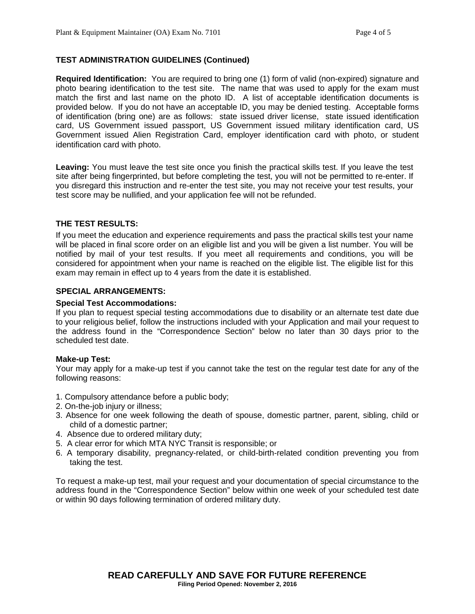## **TEST ADMINISTRATION GUIDELINES (Continued)**

**Required Identification:** You are required to bring one (1) form of valid (non-expired) signature and photo bearing identification to the test site. The name that was used to apply for the exam must match the first and last name on the photo ID. A list of acceptable identification documents is provided below. If you do not have an acceptable ID, you may be denied testing. Acceptable forms of identification (bring one) are as follows: state issued driver license, state issued identification card, US Government issued passport, US Government issued military identification card, US Government issued Alien Registration Card, employer identification card with photo, or student identification card with photo.

**Leaving:** You must leave the test site once you finish the practical skills test. If you leave the test site after being fingerprinted, but before completing the test, you will not be permitted to re-enter. If you disregard this instruction and re-enter the test site, you may not receive your test results, your test score may be nullified, and your application fee will not be refunded.

#### **THE TEST RESULTS:**

If you meet the education and experience requirements and pass the practical skills test your name will be placed in final score order on an eligible list and you will be given a list number. You will be notified by mail of your test results. If you meet all requirements and conditions, you will be considered for appointment when your name is reached on the eligible list. The eligible list for this exam may remain in effect up to 4 years from the date it is established.

#### **SPECIAL ARRANGEMENTS:**

#### **Special Test Accommodations:**

If you plan to request special testing accommodations due to disability or an alternate test date due to your religious belief, follow the instructions included with your Application and mail your request to the address found in the "Correspondence Section" below no later than 30 days prior to the scheduled test date.

#### **Make-up Test:**

Your may apply for a make-up test if you cannot take the test on the regular test date for any of the following reasons:

- 1. Compulsory attendance before a public body;
- 2. On-the-job injury or illness;
- 3. Absence for one week following the death of spouse, domestic partner, parent, sibling, child or child of a domestic partner;
- 4. Absence due to ordered military duty;
- 5. A clear error for which MTA NYC Transit is responsible; or
- 6. A temporary disability, pregnancy-related, or child-birth-related condition preventing you from taking the test.

To request a make-up test, mail your request and your documentation of special circumstance to the address found in the "Correspondence Section" below within one week of your scheduled test date or within 90 days following termination of ordered military duty.